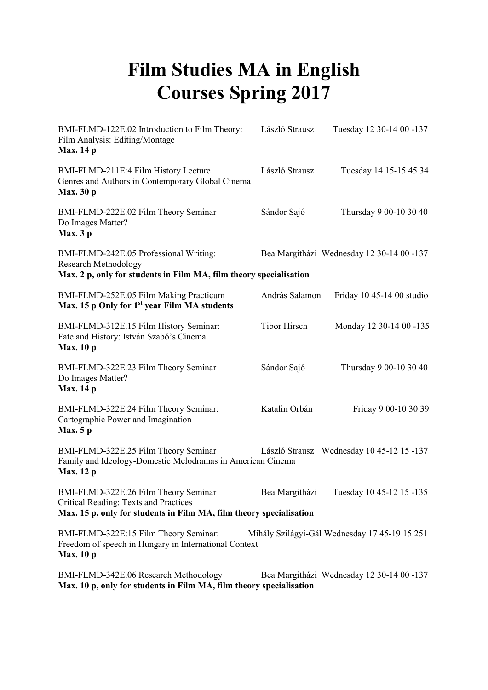## **Film Studies MA in English Courses Spring 2017**

| BMI-FLMD-122E.02 Introduction to Film Theory:<br>Film Analysis: Editing/Montage<br><b>Max.</b> 14 p                                                  | László Strausz      | Tuesday 12 30-14 00 -137                      |
|------------------------------------------------------------------------------------------------------------------------------------------------------|---------------------|-----------------------------------------------|
| BMI-FLMD-211E:4 Film History Lecture<br>Genres and Authors in Contemporary Global Cinema<br><b>Max.</b> 30 p                                         | László Strausz      | Tuesday 14 15-15 45 34                        |
| BMI-FLMD-222E.02 Film Theory Seminar<br>Do Images Matter?<br>Max.3p                                                                                  | Sándor Sajó         | Thursday 9 00-10 30 40                        |
| BMI-FLMD-242E.05 Professional Writing:<br><b>Research Methodology</b><br>Max. 2 p, only for students in Film MA, film theory specialisation          |                     | Bea Margitházi Wednesday 12 30-14 00 -137     |
| BMI-FLMD-252E.05 Film Making Practicum<br>Max. 15 p Only for $1st$ year Film MA students                                                             | András Salamon      | Friday 10 45-14 00 studio                     |
| BMI-FLMD-312E.15 Film History Seminar:<br>Fate and History: István Szabó's Cinema<br><b>Max.</b> 10 p                                                | <b>Tibor Hirsch</b> | Monday 12 30-14 00 -135                       |
| BMI-FLMD-322E.23 Film Theory Seminar<br>Do Images Matter?<br><b>Max.</b> 14 p                                                                        | Sándor Sajó         | Thursday 9 00-10 30 40                        |
| BMI-FLMD-322E.24 Film Theory Seminar:<br>Cartographic Power and Imagination<br><b>Max.</b> 5 p                                                       | Katalin Orbán       | Friday 9 00-10 30 39                          |
| BMI-FLMD-322E.25 Film Theory Seminar<br>Family and Ideology-Domestic Melodramas in American Cinema<br><b>Max.</b> 12 p                               |                     | László Strausz Wednesday 10 45-12 15 -137     |
| BMI-FLMD-322E.26 Film Theory Seminar<br>Critical Reading: Texts and Practices<br>Max. 15 p, only for students in Film MA, film theory specialisation |                     | Bea Margitházi Tuesday 10 45-12 15 -135       |
| BMI-FLMD-322E:15 Film Theory Seminar:<br>Freedom of speech in Hungary in International Context<br><b>Max.</b> 10 p                                   |                     | Mihály Szilágyi-Gál Wednesday 17 45-19 15 251 |
| BMI-FLMD-342E.06 Research Methodology<br>Max. 10 p, only for students in Film MA, film theory specialisation                                         |                     | Bea Margitházi Wednesday 12 30-14 00 -137     |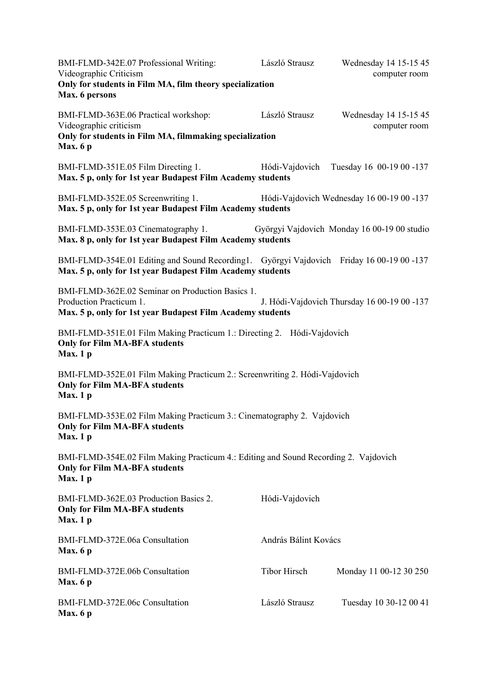| BMI-FLMD-342E.07 Professional Writing:<br>Videographic Criticism<br>Only for students in Film MA, film theory specialization<br>Max. 6 persons         | László Strausz       | Wednesday 14 15-15 45<br>computer room      |
|--------------------------------------------------------------------------------------------------------------------------------------------------------|----------------------|---------------------------------------------|
| BMI-FLMD-363E.06 Practical workshop:<br>Videographic criticism<br>Only for students in Film MA, filmmaking specialization<br>Max. $6p$                 | László Strausz       | Wednesday 14 15-15 45<br>computer room      |
| BMI-FLMD-351E.05 Film Directing 1.<br>Max. 5 p, only for 1st year Budapest Film Academy students                                                       |                      | Hódi-Vajdovich Tuesday 16 00-19 00 -137     |
| BMI-FLMD-352E.05 Screenwriting 1.<br>Max. 5 p, only for 1st year Budapest Film Academy students                                                        |                      | Hódi-Vajdovich Wednesday 16 00-19 00 -137   |
| BMI-FLMD-353E.03 Cinematography 1.<br>Max. 8 p, only for 1st year Budapest Film Academy students                                                       |                      | Györgyi Vajdovich Monday 16 00-19 00 studio |
| BMI-FLMD-354E.01 Editing and Sound Recording1. Györgyi Vajdovich Friday 16 00-19 00 -137<br>Max. 5 p, only for 1st year Budapest Film Academy students |                      |                                             |
| BMI-FLMD-362E.02 Seminar on Production Basics 1.<br>Production Practicum 1.<br>Max. 5 p, only for 1st year Budapest Film Academy students              |                      | J. Hódi-Vajdovich Thursday 16 00-19 00 -137 |
| BMI-FLMD-351E.01 Film Making Practicum 1.: Directing 2. Hódi-Vajdovich<br><b>Only for Film MA-BFA students</b><br>Max.1 <sub>p</sub>                   |                      |                                             |
| BMI-FLMD-352E.01 Film Making Practicum 2.: Screenwriting 2. Hódi-Vajdovich<br><b>Only for Film MA-BFA students</b><br>Max.1 <sub>p</sub>               |                      |                                             |
| BMI-FLMD-353E.02 Film Making Practicum 3.: Cinematography 2. Vajdovich<br><b>Only for Film MA-BFA students</b><br>Max.1 <sub>p</sub>                   |                      |                                             |
| BMI-FLMD-354E.02 Film Making Practicum 4.: Editing and Sound Recording 2. Vajdovich<br><b>Only for Film MA-BFA students</b><br>Max. 1 p                |                      |                                             |
| BMI-FLMD-362E.03 Production Basics 2.<br><b>Only for Film MA-BFA students</b><br>Max.1 <sub>p</sub>                                                    | Hódi-Vajdovich       |                                             |
| BMI-FLMD-372E.06a Consultation<br>Max. $6p$                                                                                                            | András Bálint Kovács |                                             |
| BMI-FLMD-372E.06b Consultation<br>Max. $6p$                                                                                                            | <b>Tibor Hirsch</b>  | Monday 11 00-12 30 250                      |
| BMI-FLMD-372E.06c Consultation<br>Max.6p                                                                                                               | László Strausz       | Tuesday 10 30-12 00 41                      |